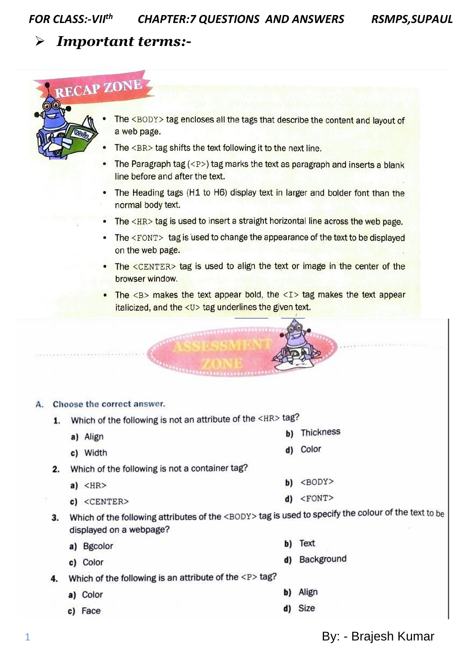**RSMPS, SUPAUL** 

## **Important terms:-**

# **RECAP ZONE**

- The <BODY> tag encloses all the tags that describe the content and layout of a web page.
- The <BR> tag shifts the text following it to the next line.
- The Paragraph tag  $\langle P \rangle$  tag marks the text as paragraph and inserts a blank line before and after the text.
- The Heading tags (H1 to H6) display text in larger and bolder font than the normal body text.
- The <HR> tag is used to insert a straight horizontal line across the web page.
- The <FONT> tag is used to change the appearance of the text to be displayed on the web page.
- The <CENTER> tag is used to align the text or image in the center of the browser window.
- The  $\langle B \rangle$  makes the text appear bold, the  $\langle I \rangle$  tag makes the text appear italicized, and the <U> tag underlines the given text.

#### Choose the correct answer. А.

- Which of the following is not an attribute of the <HR> tag? 1.
	- a) Align
	- c) Width
- 2. Which of the following is not a container tag?
	- $a)$  <HR>
	- c) <CENTER>
- 3. Which of the following attributes of the <BODY> tag is used to specify the colour of the text to be displayed on a webpage?
	- a) Bgcolor
	- c) Color

Which of the following is an attribute of the <P> tag? 4.

- a) Color
- c) Face
- **b)** Thickness
- d) Color
- $b)$  <BODY>
- $d)$  <FONT>
- b) Text
- d) Background
- b) Align
- d) Size

By: - Brajesh Kumar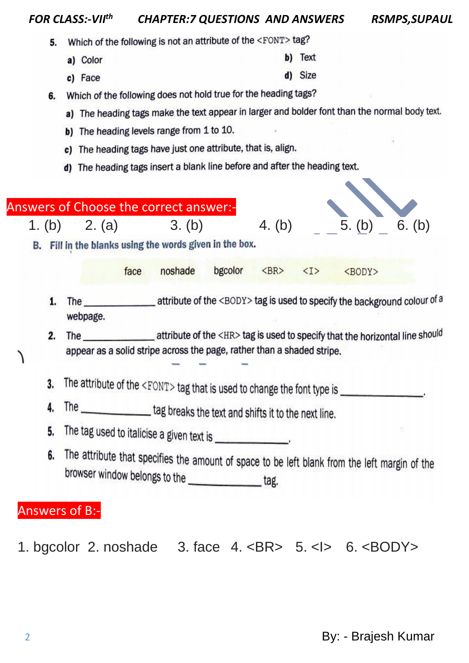### *FOR CLASS:-VII th CHAPTER:7 QUESTIONS AND ANSWERS RSMPS,SUPAUL*

- Which of the following is not an attribute of the <FONT> tag? 5.
	- b) Text a) Color
	- d) Size c) Face
- 6. Which of the following does not hold true for the heading tags?
	- a) The heading tags make the text appear in larger and bolder font than the normal body text.
	- b) The heading levels range from 1 to 10.
	- c) The heading tags have just one attribute, that is, align.
	- d) The heading tags insert a blank line before and after the heading text.

|  |    | Answers of Choose the correct answer:-                                                                                                             |         |         |                                          |  |               |        |
|--|----|----------------------------------------------------------------------------------------------------------------------------------------------------|---------|---------|------------------------------------------|--|---------------|--------|
|  |    | 1. (b) 2. (a) 3. (b)                                                                                                                               |         |         | 4. (b)                                   |  | 5. (b)        | 6. (b) |
|  |    | B. Fill in the blanks using the words given in the box.                                                                                            |         |         |                                          |  |               |        |
|  |    | face                                                                                                                                               | noshade | bgcolor | $\langle BR \rangle$ $\langle I \rangle$ |  | <body></body> |        |
|  | 1. | webpage.                                                                                                                                           |         |         |                                          |  |               |        |
|  | 2. | appear as a solid stripe across the page, rather than a shaded stripe.                                                                             |         |         |                                          |  |               |        |
|  | 3. | The attribute of the <font> tag that is used to change the font type is ________________.</font>                                                   |         |         |                                          |  |               |        |
|  | 4. | The __________________tag breaks the text and shifts it to the next line.                                                                          |         |         |                                          |  |               |        |
|  | 5. | The tag used to italicise a given text is _______________.                                                                                         |         |         |                                          |  |               |        |
|  | 6. | The attribute that specifies the amount of space to be left blank from the left margin of the<br>browser window belongs to the _______________tag. |         |         |                                          |  |               |        |

1. bgcolor 2. noshade 3. face 4. <BR> 5. <I>6. <BODY>